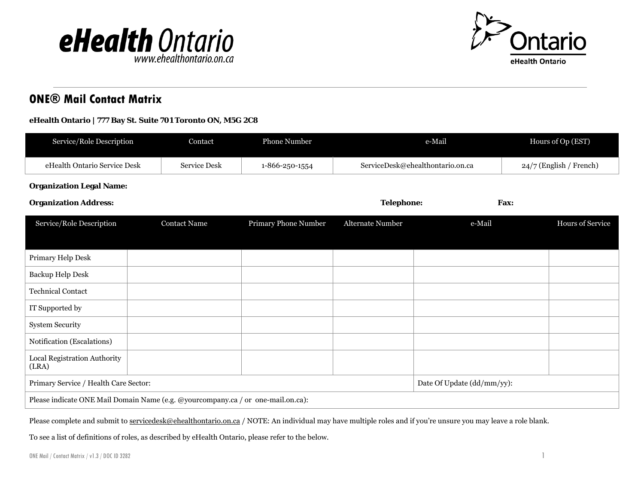



## **ONE® Mail Contact Matrix**

## **eHealth Ontario | 777 Bay St. Suite 701 Toronto ON, M5G 2C8**

| Service/Role Description                                                         | Contact             | Phone Number               | e-Mail            |                                  |      | Hours of Op (EST)         |  |
|----------------------------------------------------------------------------------|---------------------|----------------------------|-------------------|----------------------------------|------|---------------------------|--|
| eHealth Ontario Service Desk                                                     | <b>Service Desk</b> | 1-866-250-1554             |                   | ServiceDesk@ehealthontario.on.ca |      | $24/7$ (English / French) |  |
| <b>Organization Legal Name:</b>                                                  |                     |                            |                   |                                  |      |                           |  |
| <b>Organization Address:</b>                                                     |                     |                            | <b>Telephone:</b> |                                  | Fax: |                           |  |
| Service/Role Description                                                         | <b>Contact Name</b> | Primary Phone Number       | Alternate Number  | e-Mail                           |      | Hours of Service          |  |
|                                                                                  |                     |                            |                   |                                  |      |                           |  |
| Primary Help Desk                                                                |                     |                            |                   |                                  |      |                           |  |
| Backup Help Desk                                                                 |                     |                            |                   |                                  |      |                           |  |
| <b>Technical Contact</b>                                                         |                     |                            |                   |                                  |      |                           |  |
| IT Supported by                                                                  |                     |                            |                   |                                  |      |                           |  |
| <b>System Security</b>                                                           |                     |                            |                   |                                  |      |                           |  |
| Notification (Escalations)                                                       |                     |                            |                   |                                  |      |                           |  |
| Local Registration Authority<br>(LRA)                                            |                     |                            |                   |                                  |      |                           |  |
| Primary Service / Health Care Sector:                                            |                     | Date Of Update (dd/mm/yy): |                   |                                  |      |                           |  |
| Please indicate ONE Mail Domain Name (e.g. @yourcompany.ca / or one-mail.on.ca): |                     |                            |                   |                                  |      |                           |  |

Please complete and submit t[o servicedesk@ehealthontario.on.ca](mailto:servicedesk@ehealthontario.on.ca) / NOTE: An individual may have multiple roles and if you're unsure you may leave a role blank.

To see a list of definitions of roles, as described by eHealth Ontario, please refer to the below.